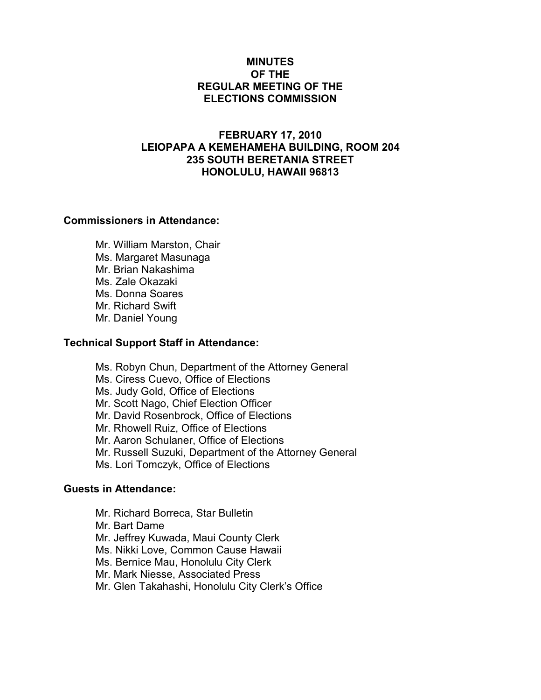## MINUTES OF THE REGULAR MEETING OF THE ELECTIONS COMMISSION

# FEBRUARY 17, 2010 LEIOPAPA A KEMEHAMEHA BUILDING, ROOM 204 235 SOUTH BERETANIA STREET HONOLULU, HAWAII 96813

#### Commissioners in Attendance:

 Mr. William Marston, Chair Ms. Margaret Masunaga Mr. Brian Nakashima Ms. Zale Okazaki Ms. Donna Soares Mr. Richard Swift Mr. Daniel Young

#### Technical Support Staff in Attendance:

Ms. Robyn Chun, Department of the Attorney General Ms. Ciress Cuevo, Office of Elections Ms. Judy Gold, Office of Elections Mr. Scott Nago, Chief Election Officer Mr. David Rosenbrock, Office of Elections Mr. Rhowell Ruiz, Office of Elections Mr. Aaron Schulaner, Office of Elections Mr. Russell Suzuki, Department of the Attorney General Ms. Lori Tomczyk, Office of Elections

#### Guests in Attendance:

 Mr. Richard Borreca, Star Bulletin Mr. Bart Dame Mr. Jeffrey Kuwada, Maui County Clerk Ms. Nikki Love, Common Cause Hawaii Ms. Bernice Mau, Honolulu City Clerk Mr. Mark Niesse, Associated Press Mr. Glen Takahashi, Honolulu City Clerk's Office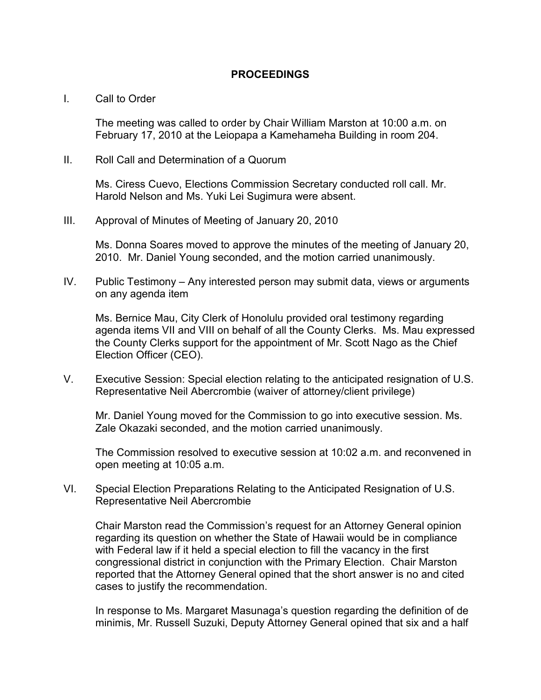## PROCEEDINGS

I. Call to Order

The meeting was called to order by Chair William Marston at 10:00 a.m. on February 17, 2010 at the Leiopapa a Kamehameha Building in room 204.

II. Roll Call and Determination of a Quorum

Ms. Ciress Cuevo, Elections Commission Secretary conducted roll call. Mr. Harold Nelson and Ms. Yuki Lei Sugimura were absent.

III. Approval of Minutes of Meeting of January 20, 2010

Ms. Donna Soares moved to approve the minutes of the meeting of January 20, 2010. Mr. Daniel Young seconded, and the motion carried unanimously.

IV. Public Testimony – Any interested person may submit data, views or arguments on any agenda item

 Ms. Bernice Mau, City Clerk of Honolulu provided oral testimony regarding agenda items VII and VIII on behalf of all the County Clerks. Ms. Mau expressed the County Clerks support for the appointment of Mr. Scott Nago as the Chief Election Officer (CEO).

V. Executive Session: Special election relating to the anticipated resignation of U.S. Representative Neil Abercrombie (waiver of attorney/client privilege)

 Mr. Daniel Young moved for the Commission to go into executive session. Ms. Zale Okazaki seconded, and the motion carried unanimously.

 The Commission resolved to executive session at 10:02 a.m. and reconvened in open meeting at 10:05 a.m.

VI. Special Election Preparations Relating to the Anticipated Resignation of U.S. Representative Neil Abercrombie

Chair Marston read the Commission's request for an Attorney General opinion regarding its question on whether the State of Hawaii would be in compliance with Federal law if it held a special election to fill the vacancy in the first congressional district in conjunction with the Primary Election. Chair Marston reported that the Attorney General opined that the short answer is no and cited cases to justify the recommendation.

In response to Ms. Margaret Masunaga's question regarding the definition of de minimis, Mr. Russell Suzuki, Deputy Attorney General opined that six and a half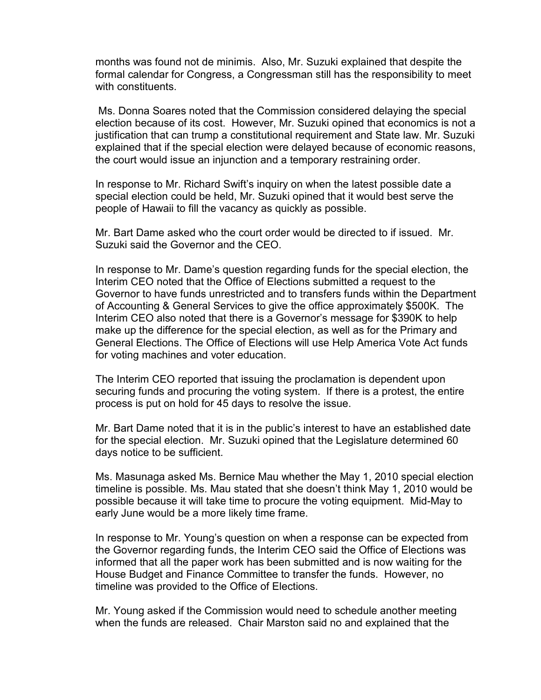months was found not de minimis. Also, Mr. Suzuki explained that despite the formal calendar for Congress, a Congressman still has the responsibility to meet with constituents.

 Ms. Donna Soares noted that the Commission considered delaying the special election because of its cost. However, Mr. Suzuki opined that economics is not a justification that can trump a constitutional requirement and State law. Mr. Suzuki explained that if the special election were delayed because of economic reasons, the court would issue an injunction and a temporary restraining order.

In response to Mr. Richard Swift's inquiry on when the latest possible date a special election could be held, Mr. Suzuki opined that it would best serve the people of Hawaii to fill the vacancy as quickly as possible.

Mr. Bart Dame asked who the court order would be directed to if issued. Mr. Suzuki said the Governor and the CEO.

In response to Mr. Dame's question regarding funds for the special election, the Interim CEO noted that the Office of Elections submitted a request to the Governor to have funds unrestricted and to transfers funds within the Department of Accounting & General Services to give the office approximately \$500K. The Interim CEO also noted that there is a Governor's message for \$390K to help make up the difference for the special election, as well as for the Primary and General Elections. The Office of Elections will use Help America Vote Act funds for voting machines and voter education.

The Interim CEO reported that issuing the proclamation is dependent upon securing funds and procuring the voting system. If there is a protest, the entire process is put on hold for 45 days to resolve the issue.

Mr. Bart Dame noted that it is in the public's interest to have an established date for the special election. Mr. Suzuki opined that the Legislature determined 60 days notice to be sufficient.

Ms. Masunaga asked Ms. Bernice Mau whether the May 1, 2010 special election timeline is possible. Ms. Mau stated that she doesn't think May 1, 2010 would be possible because it will take time to procure the voting equipment. Mid-May to early June would be a more likely time frame.

In response to Mr. Young's question on when a response can be expected from the Governor regarding funds, the Interim CEO said the Office of Elections was informed that all the paper work has been submitted and is now waiting for the House Budget and Finance Committee to transfer the funds. However, no timeline was provided to the Office of Elections.

Mr. Young asked if the Commission would need to schedule another meeting when the funds are released. Chair Marston said no and explained that the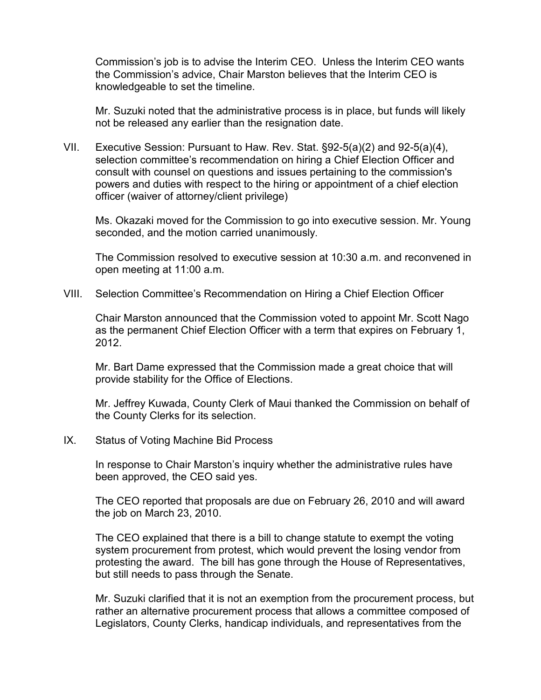Commission's job is to advise the Interim CEO. Unless the Interim CEO wants the Commission's advice, Chair Marston believes that the Interim CEO is knowledgeable to set the timeline.

Mr. Suzuki noted that the administrative process is in place, but funds will likely not be released any earlier than the resignation date.

VII. Executive Session: Pursuant to Haw. Rev. Stat. §92-5(a)(2) and 92-5(a)(4), selection committee's recommendation on hiring a Chief Election Officer and consult with counsel on questions and issues pertaining to the commission's powers and duties with respect to the hiring or appointment of a chief election officer (waiver of attorney/client privilege)

Ms. Okazaki moved for the Commission to go into executive session. Mr. Young seconded, and the motion carried unanimously.

The Commission resolved to executive session at 10:30 a.m. and reconvened in open meeting at 11:00 a.m.

VIII. Selection Committee's Recommendation on Hiring a Chief Election Officer

 Chair Marston announced that the Commission voted to appoint Mr. Scott Nago as the permanent Chief Election Officer with a term that expires on February 1, 2012.

Mr. Bart Dame expressed that the Commission made a great choice that will provide stability for the Office of Elections.

Mr. Jeffrey Kuwada, County Clerk of Maui thanked the Commission on behalf of the County Clerks for its selection.

IX. Status of Voting Machine Bid Process

In response to Chair Marston's inquiry whether the administrative rules have been approved, the CEO said yes.

The CEO reported that proposals are due on February 26, 2010 and will award the job on March 23, 2010.

The CEO explained that there is a bill to change statute to exempt the voting system procurement from protest, which would prevent the losing vendor from protesting the award. The bill has gone through the House of Representatives, but still needs to pass through the Senate.

Mr. Suzuki clarified that it is not an exemption from the procurement process, but rather an alternative procurement process that allows a committee composed of Legislators, County Clerks, handicap individuals, and representatives from the